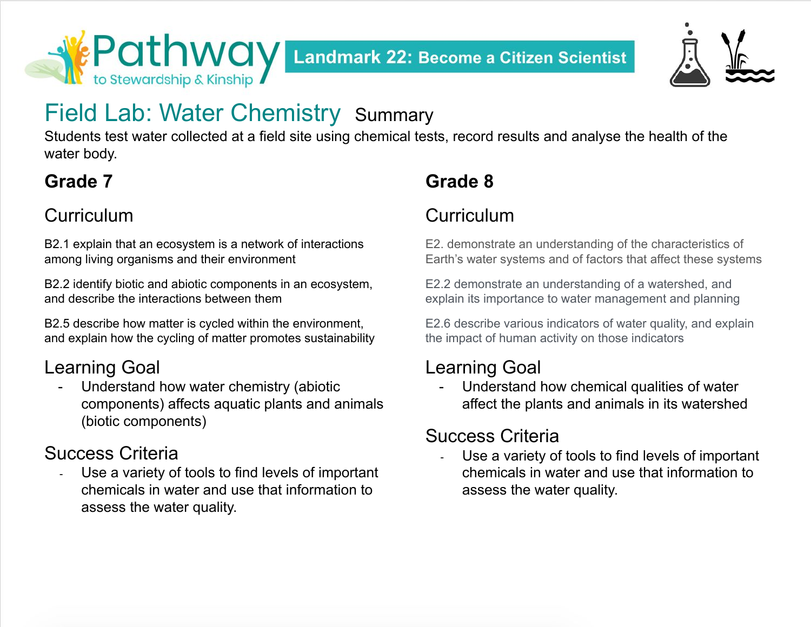



# Field Lab: Water Chemistry Summary

Students test water collected at a field site using chemical tests, record results and analyse the health of the water body.

### **Grade 7**

### **Curriculum**

B2.1 explain that an ecosystem is a network of interactions among living organisms and their environment

B2.2 identify biotic and abiotic components in an ecosystem, and describe the interactions between them

B2.5 describe how matter is cycled within the environment, and explain how the cycling of matter promotes sustainability

### Learning Goal

Understand how water chemistry (abiotic components) affects aquatic plants and animals (biotic components)

### Success Criteria

Use a variety of tools to find levels of important chemicals in water and use that information to assess the water quality.

# **Grade 8**

### **Curriculum**

E2. demonstrate an understanding of the characteristics of Earth's water systems and of factors that affect these systems

E2.2 demonstrate an understanding of a watershed, and explain its importance to water management and planning

E2.6 describe various indicators of water quality, and explain the impact of human activity on those indicators

### Learning Goal

Understand how chemical qualities of water affect the plants and animals in its watershed

### Success Criteria

Use a variety of tools to find levels of important chemicals in water and use that information to assess the water quality.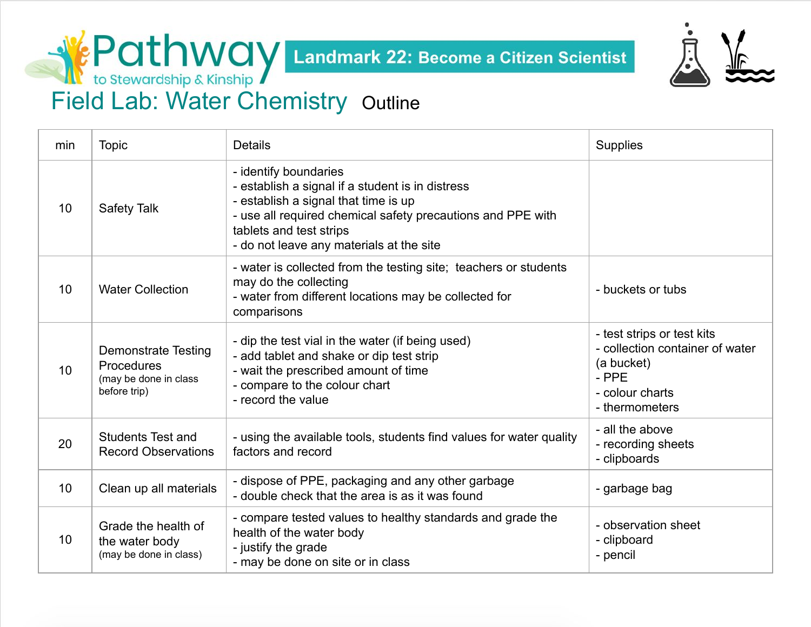

**Field Lab: Water Chemistry Outline**<br>Field Lab: Water Chemistry Outline

| min | <b>Topic</b>                                                                      | <b>Details</b>                                                                                                                                                                                                                                          | <b>Supplies</b>                                                                                                           |
|-----|-----------------------------------------------------------------------------------|---------------------------------------------------------------------------------------------------------------------------------------------------------------------------------------------------------------------------------------------------------|---------------------------------------------------------------------------------------------------------------------------|
| 10  | Safety Talk                                                                       | - identify boundaries<br>- establish a signal if a student is in distress<br>- establish a signal that time is up<br>- use all required chemical safety precautions and PPE with<br>tablets and test strips<br>- do not leave any materials at the site |                                                                                                                           |
| 10  | <b>Water Collection</b>                                                           | - water is collected from the testing site; teachers or students<br>may do the collecting<br>- water from different locations may be collected for<br>comparisons                                                                                       | - buckets or tubs                                                                                                         |
| 10  | <b>Demonstrate Testing</b><br>Procedures<br>(may be done in class<br>before trip) | - dip the test vial in the water (if being used)<br>- add tablet and shake or dip test strip<br>- wait the prescribed amount of time<br>- compare to the colour chart<br>- record the value                                                             | - test strips or test kits<br>- collection container of water<br>(a bucket)<br>- PPE<br>- colour charts<br>- thermometers |
| 20  | <b>Students Test and</b><br><b>Record Observations</b>                            | - using the available tools, students find values for water quality<br>factors and record                                                                                                                                                               | - all the above<br>- recording sheets<br>- clipboards                                                                     |
| 10  | Clean up all materials                                                            | - dispose of PPE, packaging and any other garbage<br>- double check that the area is as it was found                                                                                                                                                    | - garbage bag                                                                                                             |
| 10  | Grade the health of<br>the water body<br>(may be done in class)                   | - compare tested values to healthy standards and grade the<br>health of the water body<br>- justify the grade<br>- may be done on site or in class                                                                                                      | - observation sheet<br>- clipboard<br>- pencil                                                                            |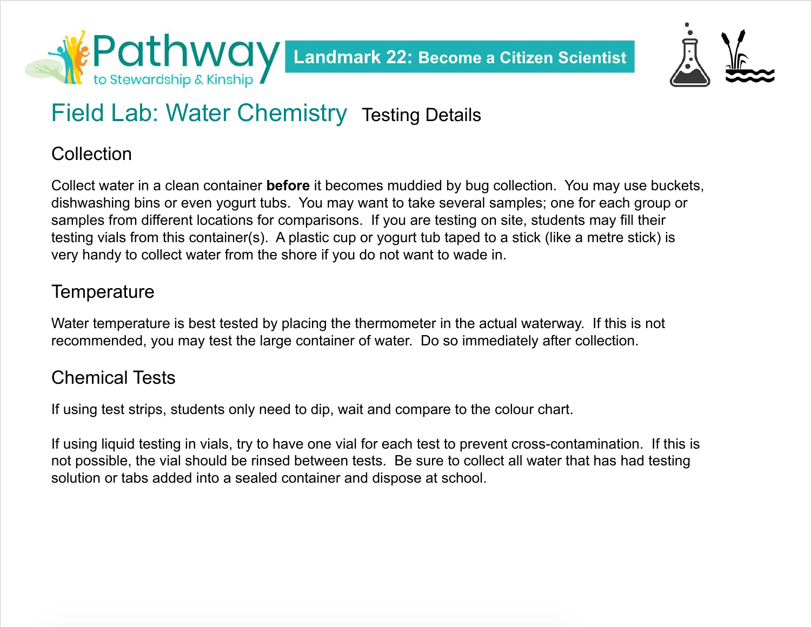



# Field Lab: Water Chemistry Testing Details

#### **Collection**

Collect water in a clean container **before** it becomes muddied by bug collection. You may use buckets, dishwashing bins or even yogurt tubs. You may want to take several samples; one for each group or samples from different locations for comparisons. If you are testing on site, students may fill their testing vials from this container(s). A plastic cup or yogurt tub taped to a stick (like a metre stick) is very handy to collect water from the shore if you do not want to wade in.

### **Temperature**

Water temperature is best tested by placing the thermometer in the actual waterway. If this is not recommended, you may test the large container of water. Do so immediately after collection.

### Chemical Tests

If using test strips, students only need to dip, wait and compare to the colour chart.

If using liquid testing in vials, try to have one vial for each test to prevent cross-contamination. If this is not possible, the vial should be rinsed between tests. Be sure to collect all water that has had testing solution or tabs added into a sealed container and dispose at school.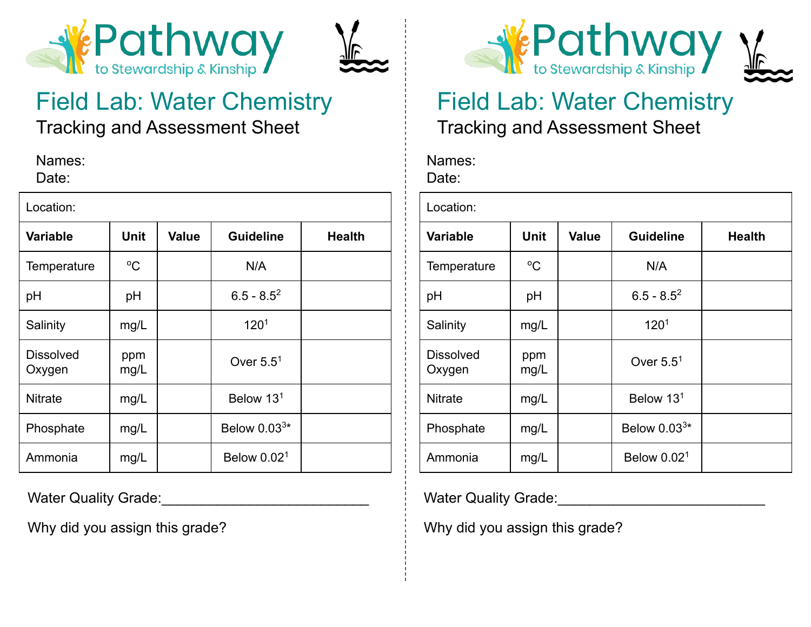



# Field Lab: Water Chemistry

Tracking and Assessment Sheet

Names: Date:

| Location:                  |             |              |                       |               |  |  |  |
|----------------------------|-------------|--------------|-----------------------|---------------|--|--|--|
| <b>Variable</b>            | <b>Unit</b> | <b>Value</b> | <b>Guideline</b>      | <b>Health</b> |  |  |  |
| Temperature                | $\rm ^{o}C$ |              | N/A                   |               |  |  |  |
| pH                         | pH          |              | $6.5 - 8.5^2$         |               |  |  |  |
| Salinity                   | mg/L        |              | 120 <sup>1</sup>      |               |  |  |  |
| <b>Dissolved</b><br>Oxygen | ppm<br>mg/L |              | Over $5.5^1$          |               |  |  |  |
| <b>Nitrate</b>             | mg/L        |              | Below 13 <sup>1</sup> |               |  |  |  |
| Phosphate                  | mg/L        |              | Below $0.033*$        |               |  |  |  |
| Ammonia                    | mg/L        |              | Below $0.021$         |               |  |  |  |

Water Quality Grade:

Why did you assign this grade?



### Field Lab: Water Chemistry Tracking and Assessment Sheet

#### Names: Date:

| Location:                  |             |              |                       |               |  |  |  |
|----------------------------|-------------|--------------|-----------------------|---------------|--|--|--|
| <b>Variable</b>            | Unit        | <b>Value</b> | <b>Guideline</b>      | <b>Health</b> |  |  |  |
| Temperature                | $^{\circ}C$ |              | N/A                   |               |  |  |  |
| рH                         | pH          |              | $6.5 - 8.5^2$         |               |  |  |  |
| Salinity                   | mg/L        |              | 120 <sup>1</sup>      |               |  |  |  |
| <b>Dissolved</b><br>Oxygen | ppm<br>mg/L |              | Over $5.5^1$          |               |  |  |  |
| <b>Nitrate</b>             | mg/L        |              | Below 13 <sup>1</sup> |               |  |  |  |
| Phosphate                  | mg/L        |              | Below $0.033*$        |               |  |  |  |
| Ammonia                    | mg/L        |              | Below $0.021$         |               |  |  |  |

Water Quality Grade:

Why did you assign this grade?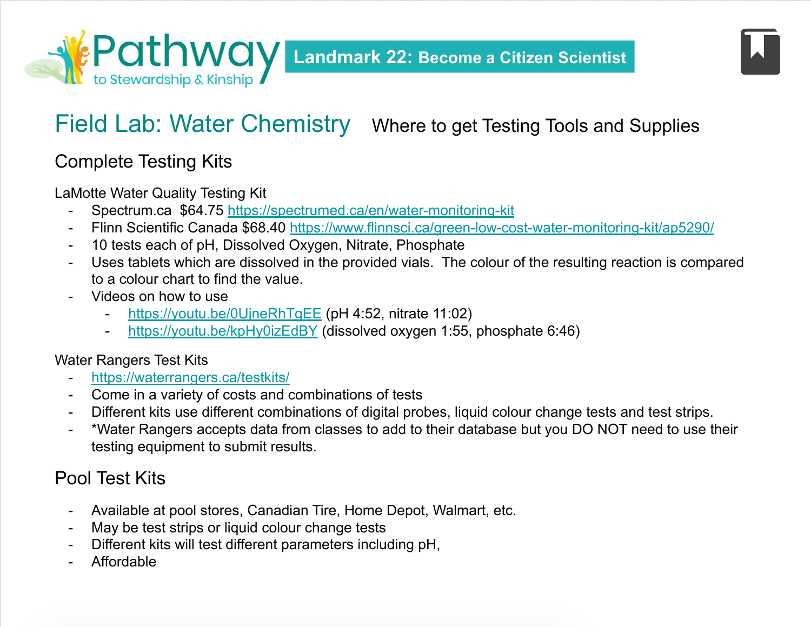### Field Lab: Water Chemistry Where to get Testing Tools and Supplies

### Complete Testing Kits

LaMotte Water Quality Testing Kit

- Spectrum.ca \$64.75<https://spectrumed.ca/en/water-monitoring-kit>
- Flinn Scientific Canada \$68.40 <https://www.flinnsci.ca/green-low-cost-water-monitoring-kit/ap5290/>
- 10 tests each of pH, Dissolved Oxygen, Nitrate, Phosphate
- Uses tablets which are dissolved in the provided vials. The colour of the resulting reaction is compared to a colour chart to find the value.
- Videos on how to use
	- <https://youtu.be/0UjneRhTgEE> (pH 4:52, nitrate 11:02)
	- <https://youtu.be/kpHy0izEdBY> (dissolved oxygen 1:55, phosphate 6:46)

#### Water Rangers Test Kits

- <https://waterrangers.ca/testkits/>
- Come in a variety of costs and combinations of tests
- Different kits use different combinations of digital probes, liquid colour change tests and test strips.
- \*Water Rangers accepts data from classes to add to their database but you DO NOT need to use their testing equipment to submit results.

### Pool Test Kits

- Available at pool stores, Canadian Tire, Home Depot, Walmart, etc.
- May be test strips or liquid colour change tests
- Different kits will test different parameters including pH,
- **Affordable**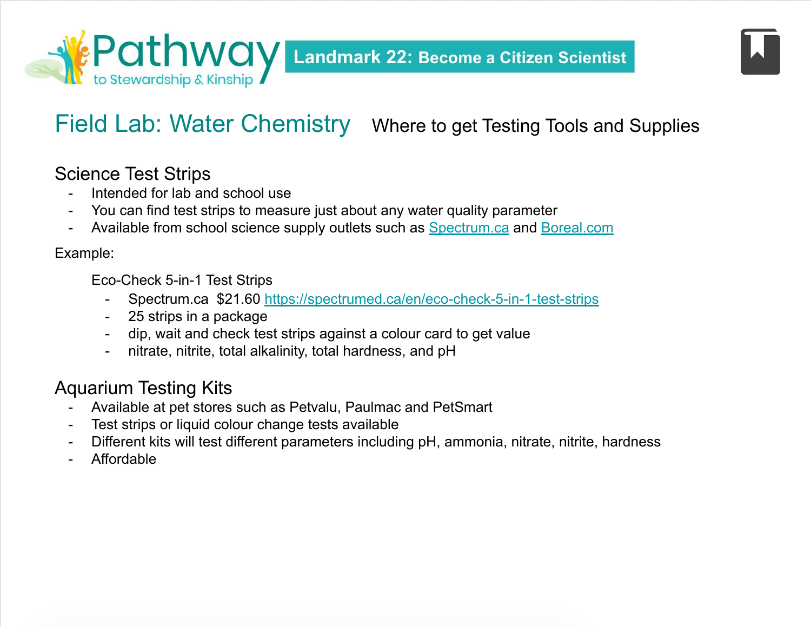### Field Lab: Water Chemistry Where to get Testing Tools and Supplies

#### Science Test Strips

- Intended for lab and school use
- You can find test strips to measure just about any water quality parameter
- Available from school science supply outlets such as [Spectrum.ca](http://spectrum.ca) and [Boreal.com](http://boreal.com)

#### Example:

Eco-Check 5-in-1 Test Strips

- Spectrum.ca \$21.60<https://spectrumed.ca/en/eco-check-5-in-1-test-strips>
- 25 strips in a package
- dip, wait and check test strips against a colour card to get value
- nitrate, nitrite, total alkalinity, total hardness, and pH

### Aquarium Testing Kits

- Available at pet stores such as Petvalu, Paulmac and PetSmart
- Test strips or liquid colour change tests available
- Different kits will test different parameters including pH, ammonia, nitrate, nitrite, hardness
- **Affordable**